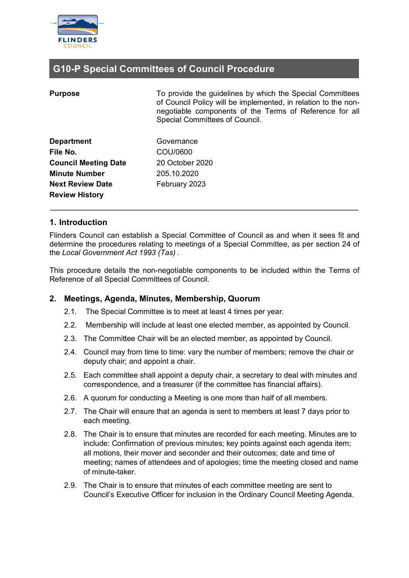

### **G10-P Special Committees of Council Procedure**

| <b>Purpose</b>              | To provide the guidelines by which the Special Committees<br>of Council Policy will be implemented, in relation to the non-<br>negotiable components of the Terms of Reference for all<br>Special Committees of Council. |
|-----------------------------|--------------------------------------------------------------------------------------------------------------------------------------------------------------------------------------------------------------------------|
| <b>Department</b>           | Governance                                                                                                                                                                                                               |
| File No.                    | COU/0600                                                                                                                                                                                                                 |
| <b>Council Meeting Date</b> | 20 October 2020                                                                                                                                                                                                          |
| <b>Minute Number</b>        | 205.10.2020                                                                                                                                                                                                              |
| <b>Next Review Date</b>     | February 2023                                                                                                                                                                                                            |
| <b>Review History</b>       |                                                                                                                                                                                                                          |

#### **1. Introduction**

Flinders Council can establish a Special Committee of Council as and when it sees fit and determine the procedures relating to meetings of a Special Committee, as per section 24 of the *Local Government Act 1993 (Tas)* .

This procedure details the non-negotiable components to be included within the Terms of Reference of all Special Committees of Council.

#### **2. Meetings, Agenda, Minutes, Membership, Quorum**

- 2.1. The Special Committee is to meet at least 4 times per year.
- 2.2. Membership will include at least one elected member, as appointed by Council.
- 2.3. The Committee Chair will be an elected member, as appointed by Council.
- 2.4. Council may from time to time: vary the number of members; remove the chair or deputy chair; and appoint a chair.
- 2.5. Each committee shall appoint a deputy chair, a secretary to deal with minutes and correspondence, and a treasurer (if the committee has financial affairs).
- 2.6. A quorum for conducting a Meeting is one more than half of all members.
- 2.7. The Chair will ensure that an agenda is sent to members at least 7 days prior to each meeting.
- 2.8. The Chair is to ensure that minutes are recorded for each meeting. Minutes are to include: Confirmation of previous minutes; key points against each agenda item; all motions, their mover and seconder and their outcomes; date and time of meeting; names of attendees and of apologies; time the meeting closed and name of minute-taker.
- 2.9. The Chair is to ensure that minutes of each committee meeting are sent to Council's Executive Officer for inclusion in the Ordinary Council Meeting Agenda.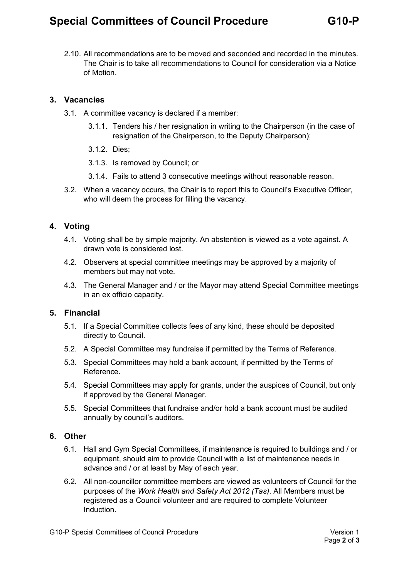## **Special Committees of Council Procedure G10-P**

2.10. All recommendations are to be moved and seconded and recorded in the minutes. The Chair is to take all recommendations to Council for consideration via a Notice of Motion.

#### **3. Vacancies**

- 3.1. A committee vacancy is declared if a member:
	- 3.1.1. Tenders his / her resignation in writing to the Chairperson (in the case of resignation of the Chairperson, to the Deputy Chairperson);
	- 3.1.2. Dies;
	- 3.1.3. Is removed by Council; or
	- 3.1.4. Fails to attend 3 consecutive meetings without reasonable reason.
- 3.2. When a vacancy occurs, the Chair is to report this to Council's Executive Officer, who will deem the process for filling the vacancy.

#### **4. Voting**

- 4.1. Voting shall be by simple majority. An abstention is viewed as a vote against. A drawn vote is considered lost.
- 4.2. Observers at special committee meetings may be approved by a majority of members but may not vote.
- 4.3. The General Manager and / or the Mayor may attend Special Committee meetings in an ex officio capacity.

#### **5. Financial**

- 5.1. If a Special Committee collects fees of any kind, these should be deposited directly to Council.
- 5.2. A Special Committee may fundraise if permitted by the Terms of Reference.
- 5.3. Special Committees may hold a bank account, if permitted by the Terms of Reference.
- 5.4. Special Committees may apply for grants, under the auspices of Council, but only if approved by the General Manager.
- 5.5. Special Committees that fundraise and/or hold a bank account must be audited annually by council's auditors.

#### **6. Other**

- 6.1. Hall and Gym Special Committees, if maintenance is required to buildings and / or equipment, should aim to provide Council with a list of maintenance needs in advance and / or at least by May of each year.
- 6.2. All non-councillor committee members are viewed as volunteers of Council for the purposes of the *Work Health and Safety Act 2012 (Tas)*. All Members must be registered as a Council volunteer and are required to complete Volunteer **Induction**